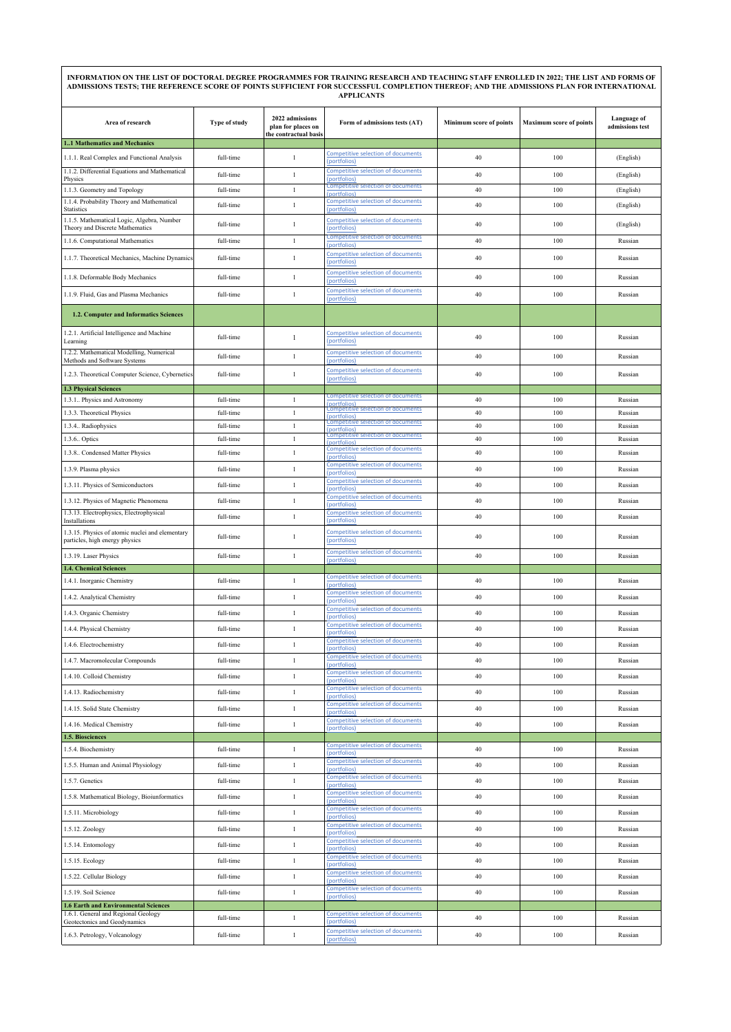| INFORMATION ON THE LIST OF DOCTORAL DEGREE PROGRAMMES FOR TRAINING RESEARCH AND TEACHING STAFF ENROLLED IN 2022; THE LIST AND FORMS OF<br>ADMISSIONS TESTS; THE REFERENCE SCORE OF POINTS SUFFICIENT FOR SUCCESSFUL COMPLETION THEREOF; AND THE ADMISSIONS PLAN FOR INTERNATIONAL<br><b>APPLICANTS</b> |               |                                                                |                                                                                                        |                                |                                |                                |
|--------------------------------------------------------------------------------------------------------------------------------------------------------------------------------------------------------------------------------------------------------------------------------------------------------|---------------|----------------------------------------------------------------|--------------------------------------------------------------------------------------------------------|--------------------------------|--------------------------------|--------------------------------|
| Area of research                                                                                                                                                                                                                                                                                       | Type of study | 2022 admissions<br>plan for places on<br>the contractual basis | Form of admissions tests (AT)                                                                          | <b>Minimum score of points</b> | <b>Maximum score of points</b> | Language of<br>admissions test |
| 11 Mathematics and Mechanics<br>1.1.1. Real Complex and Functional Analysis                                                                                                                                                                                                                            | full-time     | $\mathbf{1}$                                                   | Competitive selection of documents                                                                     | 40                             | 100                            | (English)                      |
| 1.1.2. Differential Equations and Mathematical                                                                                                                                                                                                                                                         |               |                                                                | (portfolios)<br>Competitive selection of documents                                                     |                                |                                |                                |
| Physics                                                                                                                                                                                                                                                                                                | full-time     | $\mathbf{1}$                                                   | (portfolios)<br>Competitive selection of documents                                                     | 40                             | 100                            | (English)                      |
| 1.1.3. Geometry and Topology<br>1.1.4. Probability Theory and Mathematical                                                                                                                                                                                                                             | full-time     | $\mathbf{1}$                                                   | (portfolios)<br><b>Competitive selection of documents</b>                                              | $40\,$                         | 100                            | (English)                      |
| <b>Statistics</b>                                                                                                                                                                                                                                                                                      | full-time     | $\mathbf{1}$                                                   | (portfolios)                                                                                           | 40                             | 100                            | (English)                      |
| 1.1.5. Mathematical Logic, Algebra, Number<br>Theory and Discrete Mathematics                                                                                                                                                                                                                          | full-time     | $\mathbf{1}$                                                   | <b>Competitive selection of documents</b><br>(portfolios)                                              | 40                             | 100                            | (English)                      |
| 1.1.6. Computational Mathematics                                                                                                                                                                                                                                                                       | full-time     | $\mathbf{1}$                                                   | Competitive selection of documents<br>(portfolios)                                                     | 40                             | 100                            | Russian                        |
| 1.1.7. Theoretical Mechanics, Machine Dynamics                                                                                                                                                                                                                                                         | full-time     | $\mathbf{1}$                                                   | Competitive selection of documents<br>(portfolios)                                                     | 40                             | 100                            | Russian                        |
| 1.1.8. Deformable Body Mechanics                                                                                                                                                                                                                                                                       | full-time     | $\mathbf{1}$                                                   | Competitive selection of documents<br>(portfolios)                                                     | 40                             | 100                            | Russian                        |
| 1.1.9. Fluid, Gas and Plasma Mechanics                                                                                                                                                                                                                                                                 | full-time     | $\,1$                                                          | Competitive selection of documents<br>(portfolios)                                                     | 40                             | 100                            | Russian                        |
| 1.2. Computer and Informatics Sciences                                                                                                                                                                                                                                                                 |               |                                                                |                                                                                                        |                                |                                |                                |
| 1.2.1. Artificial Intelligence and Machine<br>Learning                                                                                                                                                                                                                                                 | full-time     | $\mathbf{1}$                                                   | Competitive selection of documents<br>(portfolios)                                                     | 40                             | 100                            | Russian                        |
| 1.2.2. Mathematical Modelling, Numerical<br>Methods and Software Systems                                                                                                                                                                                                                               | full-time     | $\mathbf{1}$                                                   | Competitive selection of documents<br>(portfolios)                                                     | 40                             | 100                            | Russian                        |
| 1.2.3. Theoretical Computer Science, Cybernetics                                                                                                                                                                                                                                                       | full-time     | $\mathbf{1}$                                                   | Competitive selection of documents<br>(portfolios)                                                     | 40                             | 100                            | Russian                        |
| <b>1.3 Physical Sciences</b>                                                                                                                                                                                                                                                                           |               |                                                                |                                                                                                        |                                |                                |                                |
| 1.3.1. Physics and Astronomy                                                                                                                                                                                                                                                                           | full-time     | $\mathbf{1}$                                                   | Competitive selection of documents<br><b>Inortfolios</b>                                               | 40                             | 100                            | Russian                        |
| 1.3.3. Theoretical Physics                                                                                                                                                                                                                                                                             | full-time     | $\mathbf{1}$                                                   | <b>Competitive selection of documents</b><br>(portfolios)<br><b>Competitive selection of documents</b> | 40                             | 100                            | Russian                        |
| 1.3.4. Radiophysics                                                                                                                                                                                                                                                                                    | full-time     | $\mathbf{1}$                                                   | (portfolios)<br>Competitive selection of documents                                                     | 40                             | 100                            | Russian                        |
| 1.3.6. Optics                                                                                                                                                                                                                                                                                          | full-time     | $\mathbf{1}$                                                   | portfolios<br>Competitive selection of documents                                                       | 40                             | 100                            | Russian                        |
| 1.3.8. Condensed Matter Physics                                                                                                                                                                                                                                                                        | full-time     | $\mathbf{1}$                                                   | (portfolios)<br>Competitive selection of documents                                                     | 40                             | 100                            | Russian                        |
| 1.3.9. Plasma physics                                                                                                                                                                                                                                                                                  | full-time     | $\mathbf{1}$                                                   | (portfolios)                                                                                           | 40                             | 100                            | Russian                        |
| 1.3.11. Physics of Semiconductors                                                                                                                                                                                                                                                                      | full-time     | $\mathbf{1}$                                                   | <b>Competitive selection of documents</b><br>(portfolios)                                              | 40                             | 100                            | Russian                        |
| 1.3.12. Physics of Magnetic Phenomena                                                                                                                                                                                                                                                                  | full-time     | $\mathbf{1}$                                                   | Competitive selection of documents<br>(portfolios)                                                     | 40                             | 100                            | Russian                        |
| 1.3.13. Electrophysics, Electrophysical<br>Installations                                                                                                                                                                                                                                               | full-time     | $\mathbf{1}$                                                   | Competitive selection of documents<br>(portfolios)                                                     | 40                             | 100                            | Russian                        |
| 1.3.15. Physics of atomic nuclei and elementary<br>particles, high energy physics                                                                                                                                                                                                                      | full-time     | $\mathbf{1}$                                                   | Competitive selection of documents<br>(portfolios)                                                     | 40                             | 100                            | Russian                        |
| 1.3.19. Laser Physics                                                                                                                                                                                                                                                                                  | full-time     | $\mathbf{1}$                                                   | Competitive selection of documents<br>(portfolios)                                                     | 40                             | 100                            | Russian                        |
| <b>1.4. Chemical Sciences</b>                                                                                                                                                                                                                                                                          |               |                                                                | Competitive selection of documents                                                                     |                                |                                |                                |
| 1.4.1. Inorganic Chemistry                                                                                                                                                                                                                                                                             | full-time     | $\mathbf{1}$                                                   | portfolios)<br>Competitive selection of documents                                                      | 40                             | 100                            | Russian                        |
| 1.4.2. Analytical Chemistry                                                                                                                                                                                                                                                                            | full-time     | $\mathbf{1}$                                                   | (portfolios)<br>Competitive selection of documents                                                     | 40                             | 100                            | Russian                        |
| 1.4.3. Organic Chemistry                                                                                                                                                                                                                                                                               | full-time     | $\mathbf{1}$                                                   | (nortfolios)                                                                                           | 40                             | 100                            | Russian                        |
| 1.4.4. Physical Chemistry                                                                                                                                                                                                                                                                              | full-time     | $\mathbf{1}$                                                   | Competitive selection of documents<br>(portfolios)                                                     | 40                             | 100                            | Russian                        |
| 1.4.6. Electrochemistry                                                                                                                                                                                                                                                                                | full-time     | $\mathbf{1}$                                                   | <b>Competitive selection of documents</b><br>(portfolios)                                              | 40                             | 100                            | Russian                        |
| 1.4.7. Macromolecular Compounds                                                                                                                                                                                                                                                                        | full-time     | $\mathbf{1}$                                                   | Competitive selection of documents<br>(portfolios)                                                     | 40                             | 100                            | Russian                        |
| 1.4.10. Colloid Chemistry                                                                                                                                                                                                                                                                              | full-time     | $\mathbf{1}$                                                   | Competitive selection of documents<br>(portfolios)                                                     | 40                             | 100                            | Russian                        |
| 1.4.13. Radiochemistry                                                                                                                                                                                                                                                                                 | full-time     | $\,1$                                                          | <b>Competitive selection of documents</b><br>(portfolios)                                              | 40                             | 100                            | Russian                        |
| 1.4.15. Solid State Chemistry                                                                                                                                                                                                                                                                          | full-time     | $\mathbf{1}$                                                   | Competitive selection of documents<br>(portfolios)                                                     | 40                             | 100                            | Russian                        |
| 1.4.16. Medical Chemistry                                                                                                                                                                                                                                                                              | full-time     | $\mathbf{1}$                                                   | Competitive selection of documents<br>(portfolios)                                                     | 40                             | 100                            | Russian                        |
| 1.5. Biosciences                                                                                                                                                                                                                                                                                       |               |                                                                | Competitive selection of documents                                                                     |                                |                                |                                |
| 1.5.4. Biochemistry                                                                                                                                                                                                                                                                                    | full-time     | $\mathbf{1}$                                                   | (portfolios)                                                                                           | 40                             | 100                            | Russian                        |
| 1.5.5. Human and Animal Physiology                                                                                                                                                                                                                                                                     | full-time     | $\mathbf{1}$                                                   | Competitive selection of documents<br>(portfolios)                                                     | 40                             | 100                            | Russian                        |
| 1.5.7. Genetics                                                                                                                                                                                                                                                                                        | full-time     | $\mathbf{1}$                                                   | Competitive selection of documents<br>(portfolios)                                                     | 40                             | 100                            | Russian                        |
| 1.5.8. Mathematical Biology, Bioiunformatics                                                                                                                                                                                                                                                           | full-time     | $\mathbf{1}$                                                   | Competitive selection of documents<br>(portfolios)                                                     | $40\,$                         | 100                            | Russian                        |
| 1.5.11. Microbiology                                                                                                                                                                                                                                                                                   | full-time     | $\mathbf{1}$                                                   | Competitive selection of documents<br>portfolios)                                                      | 40                             | 100                            | Russian                        |
| 1.5.12. Zoology                                                                                                                                                                                                                                                                                        | full-time     | $\mathbf{1}$                                                   | Competitive selection of documents<br>(portfolios)                                                     | 40                             | 100                            | Russian                        |
| 1.5.14. Entomology                                                                                                                                                                                                                                                                                     | full-time     | $\mathbf{1}$                                                   | <b>Competitive selection of documents</b><br>(portfolios)                                              | 40                             | 100                            | Russian                        |
| 1.5.15. Ecology                                                                                                                                                                                                                                                                                        | full-time     | $\mathbf{1}$                                                   | Competitive selection of documents<br>(portfolios)                                                     | 40                             | 100                            | Russian                        |
| 1.5.22. Cellular Biology                                                                                                                                                                                                                                                                               | full-time     | $\mathbf{1}$                                                   | Competitive selection of documents<br>(portfolios)                                                     | 40                             | 100                            | Russian                        |
| 1.5.19. Soil Science                                                                                                                                                                                                                                                                                   | full-time     | $\mathbf{1}$                                                   | Competitive selection of documents<br>(portfolios)                                                     | 40                             | 100                            | Russian                        |
| <b>1.6 Earth and Environmental Sciences</b><br>1.6.1. General and Regional Geology                                                                                                                                                                                                                     |               |                                                                | Competitive selection of documents                                                                     |                                |                                |                                |
| Geotectonics and Geodynamics                                                                                                                                                                                                                                                                           | full-time     | $\mathbf{1}$                                                   | (portfolios)                                                                                           | 40                             | 100                            | Russian                        |
| 1.6.3. Petrology, Volcanology                                                                                                                                                                                                                                                                          | full-time     | $\mathbf{1}$                                                   | <b>Competitive selection of documents</b><br>(portfolios)                                              | $40\,$                         | 100                            | Russian                        |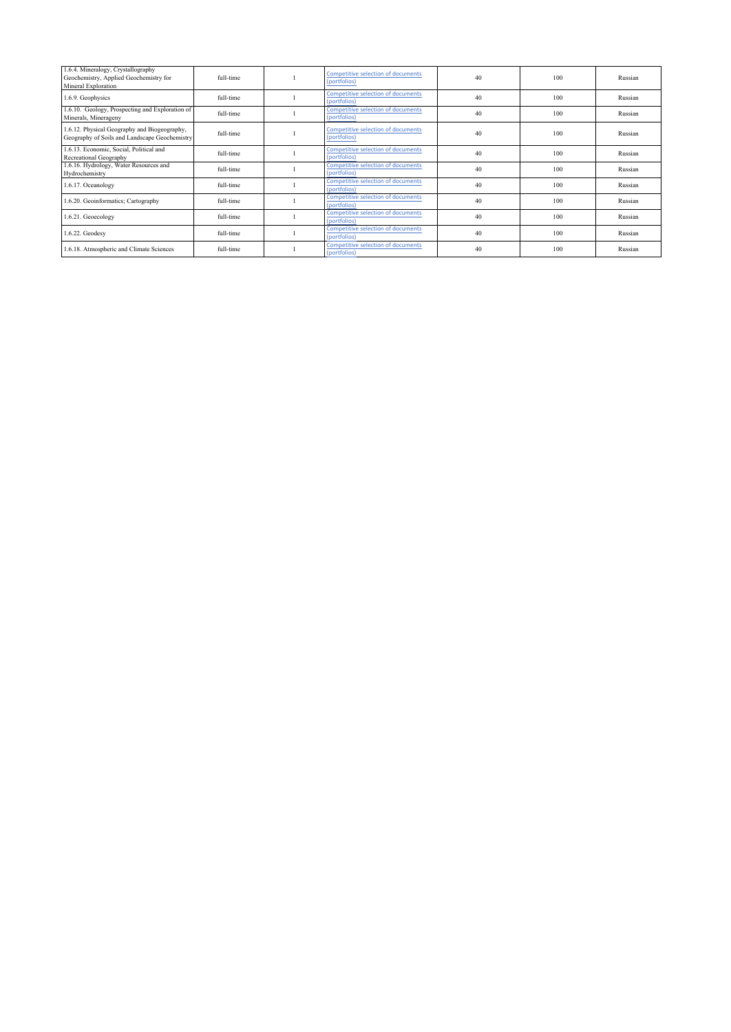| 1.6.4. Mineralogy, Crystallography<br>Geochemistry, Applied Geochemistry for<br>Mineral Exploration | full-time | Competitive selection of documents<br>(portfolios)        | 40 | 100 | Russian |
|-----------------------------------------------------------------------------------------------------|-----------|-----------------------------------------------------------|----|-----|---------|
| 1.6.9. Geophysics                                                                                   | full-time | <b>Competitive selection of documents</b><br>(portfolios) | 40 | 100 | Russian |
| 1.6.10. Geology, Prospecting and Exploration of<br>Minerals, Minerageny                             | full-time | Competitive selection of documents<br>(portfolios)        | 40 | 100 | Russian |
| 1.6.12. Physical Geography and Biogeography,<br>Geography of Soils and Landscape Geochemistry       | full-time | Competitive selection of documents<br>(portfolios)        | 40 | 100 | Russian |
| 1.6.13. Economic, Social, Political and<br>Recreational Geography                                   | full-time | Competitive selection of documents<br>(portfolios)        | 40 | 100 | Russian |
| 1.6.16. Hydrology, Water Resources and<br>Hydrochemistry                                            | full-time | <b>Competitive selection of documents</b><br>(portfolios) | 40 | 100 | Russian |
| 1.6.17. Oceanology                                                                                  | full-time | Competitive selection of documents<br>(portfolios)        | 40 | 100 | Russian |
| 1.6.20. Geoinformatics; Cartography                                                                 | full-time | Competitive selection of documents<br>(portfolios)        | 40 | 100 | Russian |
| 1.6.21. Geoecology                                                                                  | full-time | <b>Competitive selection of documents</b><br>(portfolios) | 40 | 100 | Russian |
| 1.6.22. Geodesy                                                                                     | full-time | <b>Competitive selection of documents</b><br>(portfolios) | 40 | 100 | Russian |
| 1.6.18. Atmospheric and Climate Sciences                                                            | full-time | Competitive selection of documents<br>(portfolios)        | 40 | 100 | Russian |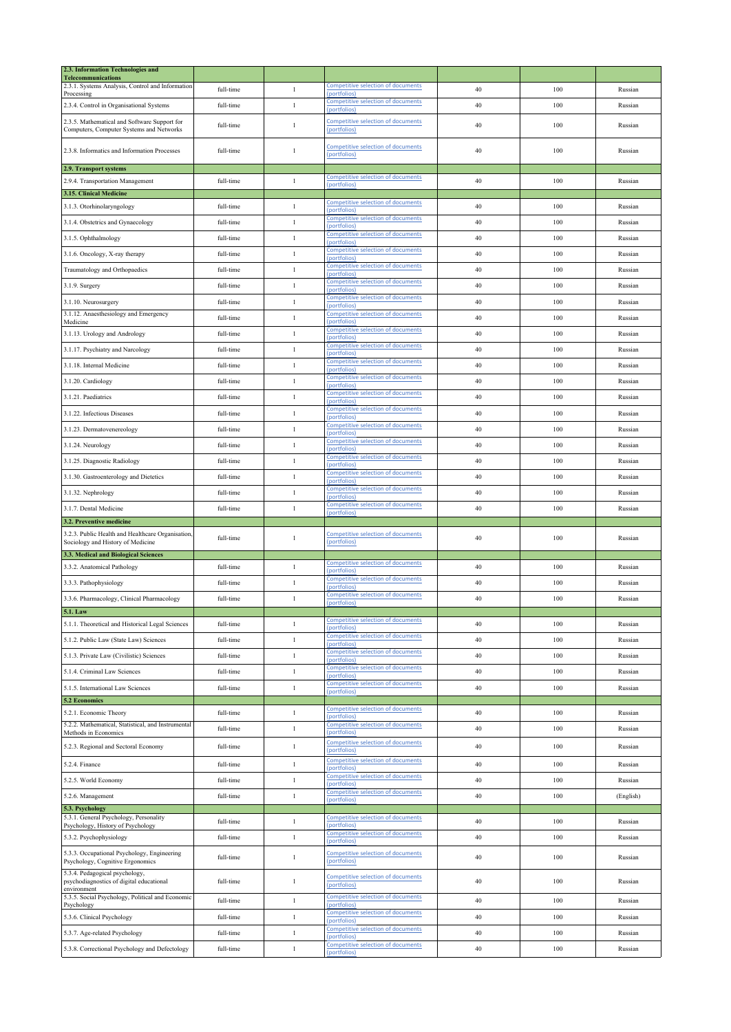| 2.3. Information Technologies and<br><b>Telecommunications</b>                           |           |              |                                                                           |    |     |           |
|------------------------------------------------------------------------------------------|-----------|--------------|---------------------------------------------------------------------------|----|-----|-----------|
| 2.3.1. Systems Analysis, Control and Information                                         | full-time | $\mathbf{1}$ | <b>Competitive selection of documents</b>                                 | 40 | 100 | Russian   |
| Processing<br>2.3.4. Control in Organisational Systems                                   | full-time | $\mathbf{1}$ | (portfolios)<br>Competitive selection of documents                        | 40 | 100 | Russian   |
|                                                                                          |           |              | (portfolios)                                                              |    |     |           |
| 2.3.5. Mathematical and Software Support for<br>Computers, Computer Systems and Networks | full-time | $\mathbf{1}$ | <b>Competitive selection of documents</b><br>(portfolios)                 | 40 | 100 | Russian   |
| 2.3.8. Informatics and Information Processes                                             | full-time | $\mathbf{1}$ | <b>Competitive selection of documents</b><br>(portfolios)                 | 40 | 100 | Russian   |
| 2.9. Transport systems                                                                   |           |              |                                                                           |    |     |           |
| 2.9.4. Transportation Management                                                         | full-time | $\mathbf{1}$ | <b>Competitive selection of documents</b><br>(portfolios)                 | 40 | 100 | Russian   |
| 3.15. Clinical Medicine                                                                  |           |              |                                                                           |    |     |           |
| 3.1.3. Otorhinolaryngology                                                               | full-time | $\mathbf{1}$ | <b>Competitive selection of documents</b><br>portfolios                   | 40 | 100 | Russian   |
| 3.1.4. Obstetrics and Gynaecology                                                        | full-time | $\mathbf{1}$ | <b>Competitive selection of documents</b><br>(portfolios)                 | 40 | 100 | Russian   |
| 3.1.5. Ophthalmology                                                                     | full-time | $\mathbf{1}$ | <b>Competitive selection of documents</b><br>(portfolios)                 | 40 | 100 | Russian   |
| 3.1.6. Oncology, X-ray therapy                                                           | full-time | $\mathbf{1}$ | <b>Competitive selection of documents</b><br>(portfolios)                 | 40 | 100 | Russian   |
| Traumatology and Orthopaedics                                                            | full-time | $\mathbf{1}$ | Competitive selection of documents<br>(portfolios)                        | 40 | 100 | Russian   |
| 3.1.9. Surgery                                                                           | full-time | $\mathbf{1}$ | Competitive selection of documents<br>(portfolios)                        | 40 | 100 | Russian   |
| 3.1.10. Neurosurgery                                                                     | full-time | $\mathbf{1}$ | Competitive selection of documents                                        | 40 | 100 | Russian   |
| 3.1.12. Anaesthesiology and Emergency                                                    | full-time | $\mathbf{1}$ | portfolios)<br>Competitive selection of documents                         | 40 | 100 | Russian   |
| Medicine<br>3.1.13. Urology and Andrology                                                | full-time | $\mathbf{1}$ | (portfolios)<br>Competitive selection of documents                        | 40 | 100 | Russian   |
|                                                                                          |           | $\,1\,$      | (portfolios)<br><b>Competitive selection of documents</b>                 |    |     |           |
| 3.1.17. Psychiatry and Narcology                                                         | full-time |              | (portfolios)<br>Competitive selection of documents                        | 40 | 100 | Russian   |
| 3.1.18. Internal Medicine                                                                | full-time | $\mathbf{1}$ | (portfolios)<br>Competitive selection of documents                        | 40 | 100 | Russian   |
| 3.1.20. Cardiology                                                                       | full-time | $\mathbf{1}$ | (portfolios)                                                              | 40 | 100 | Russian   |
| 3.1.21. Paediatrics                                                                      | full-time | $\,1\,$      | <b>Competitive selection of documents</b><br>portfolios)                  | 40 | 100 | Russian   |
| 3.1.22. Infectious Diseases                                                              | full-time | $\mathbf{1}$ | Competitive selection of documents<br>(portfolios)                        | 40 | 100 | Russian   |
| 3.1.23. Dermatovenereology                                                               | full-time | $\mathbf{1}$ | Competitive selection of documents<br>(portfolios)                        | 40 | 100 | Russian   |
| 3.1.24. Neurology                                                                        | full-time | $\mathbf{1}$ | <b>Competitive selection of documents</b><br>portfolios                   | 40 | 100 | Russian   |
| 3.1.25. Diagnostic Radiology                                                             | full-time | $\mathbf{1}$ | Competitive selection of documents<br>(portfolios)                        | 40 | 100 | Russian   |
| 3.1.30. Gastroenterology and Dietetics                                                   | full-time | $\mathbf{1}$ | Competitive selection of documents                                        | 40 | 100 | Russian   |
| 3.1.32. Nephrology                                                                       | full-time | $\,1$        | (portfolios)<br>Competitive selection of documents                        | 40 | 100 | Russian   |
|                                                                                          |           |              | (portfolios)<br><b>Competitive selection of documents</b>                 |    |     |           |
|                                                                                          |           |              |                                                                           |    |     |           |
| 3.1.7. Dental Medicine<br>3.2. Preventive medicine                                       | full-time | $\mathbf{1}$ | (portfolios)                                                              | 40 | 100 | Russian   |
| 3.2.3. Public Health and Healthcare Organisation,<br>Sociology and History of Medicine   | full-time | $\mathbf{1}$ | <b>Competitive selection of documents</b><br>(portfolios)                 | 40 | 100 | Russian   |
| 3.3. Medical and Biological Sciences                                                     |           |              |                                                                           |    |     |           |
| 3.3.2. Anatomical Pathology                                                              | full-time | $\mathbf{1}$ | <b>Competitive selection of documents</b><br>(portfolios)                 | 40 | 100 | Russian   |
| 3.3.3. Pathophysiology                                                                   | full-time | $\mathbf{1}$ | <b>Competitive selection of documents</b><br>(portfolios)                 | 40 | 100 | Russian   |
| 3.3.6. Pharmacology, Clinical Pharmacology                                               | full-time | $\mathbf{1}$ | Competitive selection of documents<br>(portfolios)                        | 40 | 100 | Russian   |
| 5.1. Law                                                                                 |           |              |                                                                           |    |     |           |
| 5.1.1. Theoretical and Historical Legal Sciences                                         | full-time | $\mathbf{1}$ | Competitive selection of documents<br>(portfolios)                        | 40 | 100 | Russian   |
| 5.1.2. Public Law (State Law) Sciences                                                   | full-time | $\mathbf{1}$ | <b>Competitive selection of documents</b><br>(portfolios)                 | 40 | 100 | Russian   |
| 5.1.3. Private Law (Civilistic) Sciences                                                 | full-time | $\mathbf{1}$ | Competitive selection of documents<br>(portfolios)                        | 40 | 100 | Russian   |
| 5.1.4. Criminal Law Sciences                                                             | full-time | $\mathbf{1}$ | Competitive selection of documents<br>(portfolios)                        | 40 | 100 | Russian   |
| 5.1.5. International Law Sciences                                                        | full-time | $\mathbf{1}$ | <b>Competitive selection of documents</b>                                 | 40 | 100 | Russian   |
| 5.2 Economics                                                                            |           |              | (portfolios)                                                              |    |     |           |
| 5.2.1. Economic Theory                                                                   | full-time | $\mathbf{1}$ | <b>Competitive selection of documents</b><br>(portfolios)                 | 40 | 100 | Russian   |
| 5.2.2. Mathematical, Statistical, and Instrumental<br>Methods in Economics               | full-time | $\,1$        | Competitive selection of documents<br>(portfolios)                        | 40 | 100 | Russian   |
| 5.2.3. Regional and Sectoral Economy                                                     | full-time | $\,1$        | Competitive selection of documents<br>(portfolios)                        | 40 | 100 | Russian   |
| 5.2.4. Finance                                                                           | full-time | $\mathbf{1}$ | Competitive selection of documents<br>(portfolios)                        | 40 | 100 | Russian   |
| 5.2.5. World Economy                                                                     | full-time | $\mathbf{1}$ | Competitive selection of documents<br>(portfolios)                        | 40 | 100 | Russian   |
| 5.2.6. Management                                                                        | full-time | $\,1$        | Competitive selection of documents<br>(portfolios)                        | 40 | 100 | (English) |
| 5.3. Psychology                                                                          |           |              |                                                                           |    |     |           |
| 5.3.1. General Psychology, Personality<br>Psychology, History of Psychology              | full-time | $\mathbf{1}$ | Competitive selection of documents<br>(portfolios)                        | 40 | 100 | Russian   |
| 5.3.2. Psychophysiology                                                                  | full-time | $\mathbf{1}$ | <b>Competitive selection of documents</b><br>(portfolios)                 | 40 | 100 | Russian   |
| 5.3.3. Occupational Psychology, Engineering<br>Psychology, Cognitive Ergonomics          | full-time | $\mathbf{1}$ | Competitive selection of documents<br>(portfolios)                        | 40 | 100 | Russian   |
| 5.3.4. Pedagogical psychology,<br>psychodiagnostics of digital educational               | full-time | $\mathbf{1}$ | Competitive selection of documents<br>(portfolios)                        | 40 | 100 | Russian   |
| environment<br>5.3.5. Social Psychology, Political and Economic                          | full-time | $\mathbf{1}$ | Competitive selection of documents                                        | 40 | 100 | Russian   |
| Psychology<br>5.3.6. Clinical Psychology                                                 | full-time | $\mathbf{1}$ | (portfolios)<br>Competitive selection of documents                        | 40 | 100 | Russian   |
| 5.3.7. Age-related Psychology                                                            | full-time | $\mathbf{1}$ | (portfolios)<br>Competitive selection of documents                        | 40 | 100 | Russian   |
| 5.3.8. Correctional Psychology and Defectology                                           | full-time | $\,1$        | (portfolios)<br><b>Competitive selection of documents</b><br>(portfolios) | 40 | 100 | Russian   |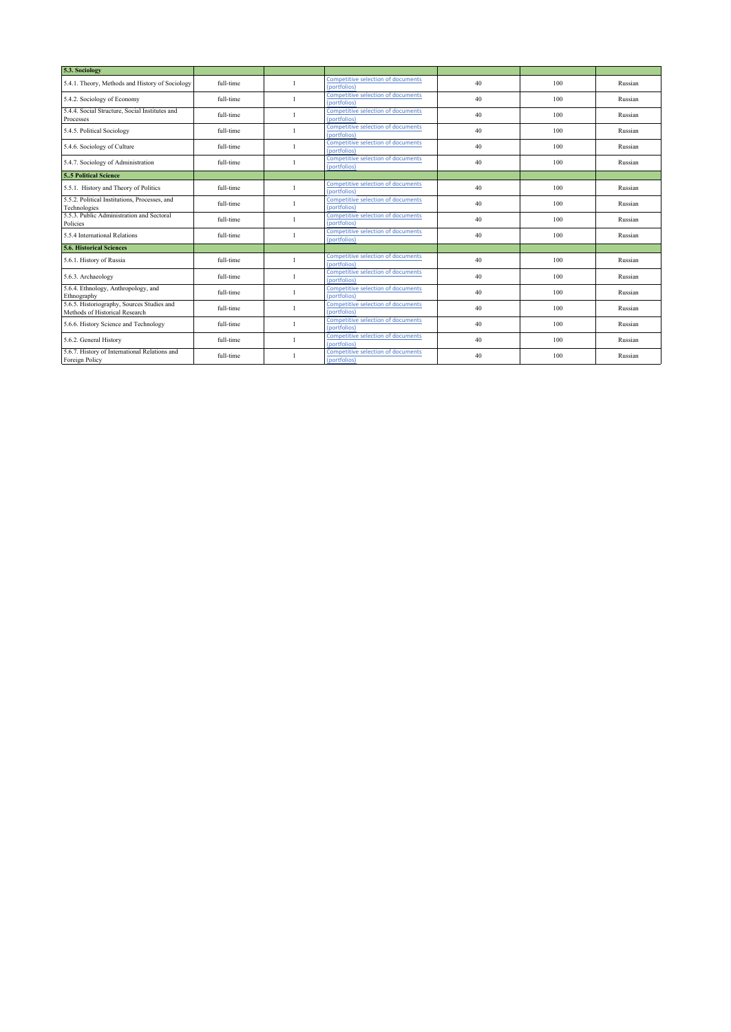| 5.3. Sociology                                                               |           |                                                           |    |     |         |
|------------------------------------------------------------------------------|-----------|-----------------------------------------------------------|----|-----|---------|
| 5.4.1. Theory, Methods and History of Sociology                              | full-time | <b>Competitive selection of documents</b><br>(portfolios) | 40 | 100 | Russian |
| 5.4.2. Sociology of Economy                                                  | full-time | <b>Competitive selection of documents</b><br>(portfolios) | 40 | 100 | Russian |
| 5.4.4. Social Structure, Social Institutes and<br>Processes                  | full-time | Competitive selection of documents<br>(portfolios)        | 40 | 100 | Russian |
| 5.4.5. Political Sociology                                                   | full-time | Competitive selection of documents<br>(portfolios)        | 40 | 100 | Russian |
| 5.4.6. Sociology of Culture                                                  | full-time | Competitive selection of documents<br>(portfolios)        | 40 | 100 | Russian |
| 5.4.7. Sociology of Administration                                           | full-time | Competitive selection of documents<br>(portfolios)        | 40 | 100 | Russian |
| 5.5 Political Science                                                        |           |                                                           |    |     |         |
| 5.5.1. History and Theory of Politics                                        | full-time | Competitive selection of documents<br>(portfolios)        | 40 | 100 | Russian |
| 5.5.2. Political Institutions, Processes, and<br>Technologies                | full-time | Competitive selection of documents<br>(portfolios)        | 40 | 100 | Russian |
| 5.5.3. Public Administration and Sectoral<br>Policies                        | full-time | Competitive selection of documents<br>(portfolios)        | 40 | 100 | Russian |
| 5.5.4 International Relations                                                | full-time | Competitive selection of documents<br>(portfolios)        | 40 | 100 | Russian |
| <b>5.6. Historical Sciences</b>                                              |           |                                                           |    |     |         |
| 5.6.1. History of Russia                                                     | full-time | Competitive selection of documents<br>(portfolios)        | 40 | 100 | Russian |
| 5.6.3. Archaeology                                                           | full-time | Competitive selection of documents<br>(portfolios)        | 40 | 100 | Russian |
| 5.6.4. Ethnology, Anthropology, and<br>Ethnography                           | full-time | Competitive selection of documents<br>(portfolios)        | 40 | 100 | Russian |
| 5.6.5. Historiography, Sources Studies and<br>Methods of Historical Research | full-time | <b>Competitive selection of documents</b><br>(portfolios) | 40 | 100 | Russian |
| 5.6.6. History Science and Technology                                        | full-time | Competitive selection of documents<br>(portfolios)        | 40 | 100 | Russian |
| 5.6.2. General History                                                       | full-time | <b>Competitive selection of documents</b><br>(portfolios) | 40 | 100 | Russian |
| 5.6.7. History of International Relations and<br>Foreign Policy              | full-time | <b>Competitive selection of documents</b><br>(portfolios) | 40 | 100 | Russian |